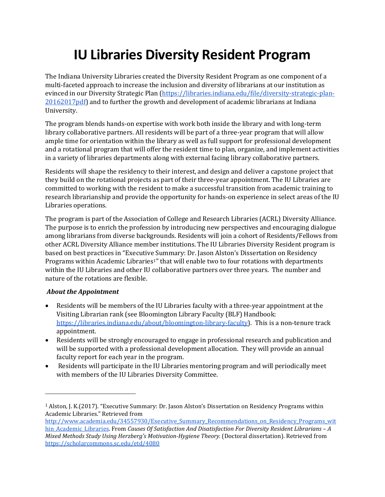## **IU Libraries Diversity Resident Program**

The Indiana University Libraries created the Diversity Resident Program as one component of a multi-faceted approach to increase the inclusion and diversity of librarians at our institution as evinced in our Diversity Strategic Plan [\(https://libraries.indiana.edu/file/diversity-strategic-plan-](https://libraries.indiana.edu/file/diversity-strategic-plan-20162017pdf)[20162017pdf\)](https://libraries.indiana.edu/file/diversity-strategic-plan-20162017pdf) and to further the growth and development of academic librarians at Indiana University.

The program blends hands-on expertise with work both inside the library and with long-term library collaborative partners. All residents will be part of a three-year program that will allow ample time for orientation within the library as well as full support for professional development and a rotational program that will offer the resident time to plan, organize, and implement activities in a variety of libraries departments along with external facing library collaborative partners.

Residents will shape the residency to their interest, and design and deliver a capstone project that they build on the rotational projects as part of their three-year appointment. The IU Libraries are committed to working with the resident to make a successful transition from academic training to research librarianship and provide the opportunity for hands-on experience in select areas of the IU Libraries operations.

The program is part of the Association of College and Research Libraries (ACRL) Diversity Alliance. The purpose is to enrich the profession by introducing new perspectives and encouraging dialogue among librarians from diverse backgrounds. Residents will join a cohort of Residents/Fellows from other ACRL Diversity Alliance member institutions. The IU Libraries Diversity Resident program is based on best practices in "Executive Summary: Dr. Jason Alston's Dissertation on Residency Programs within Academic Librarie[s1](#page-0-0)" that will enable two to four rotations with departments within the IU Libraries and other IU collaborative partners over three years. The number and nature of the rotations are flexible.

## *About the Appointment*

j

- Residents will be members of the IU Libraries faculty with a three-year appointment at the Visiting Librarian rank (see Bloomington Library Faculty (BLF) Handbook: [https://libraries.indiana.edu/about/bloomington-library-faculty\)](https://libraries.indiana.edu/about/bloomington-library-faculty). This is a non-tenure track appointment.
- Residents will be strongly encouraged to engage in professional research and publication and will be supported with a professional development allocation. They will provide an annual faculty report for each year in the program.
- Residents will participate in the IU Libraries mentoring program and will periodically meet with members of the IU Libraries Diversity Committee.

<span id="page-0-0"></span><sup>1</sup> Alston, J. K.(2017). "Executive Summary: Dr. Jason Alston's Dissertation on Residency Programs within Academic Libraries." Retrieved from

http://www.academia.edu/34557930/Executive Summary Recommendations on Residency Programs wit [hin\\_Academic\\_Libraries.](http://www.academia.edu/34557930/Executive_Summary_Recommendations_on_Residency_Programs_within_Academic_Libraries) From *Causes Of Satisfaction And Disatisfaction For Diversity Resident Librarians – A Mixed Methods Study Using Herzberg's Motivation-Hygiene Theory.* (Doctoral dissertation). Retrieved from <https://scholarcommons.sc.edu/etd/4080>